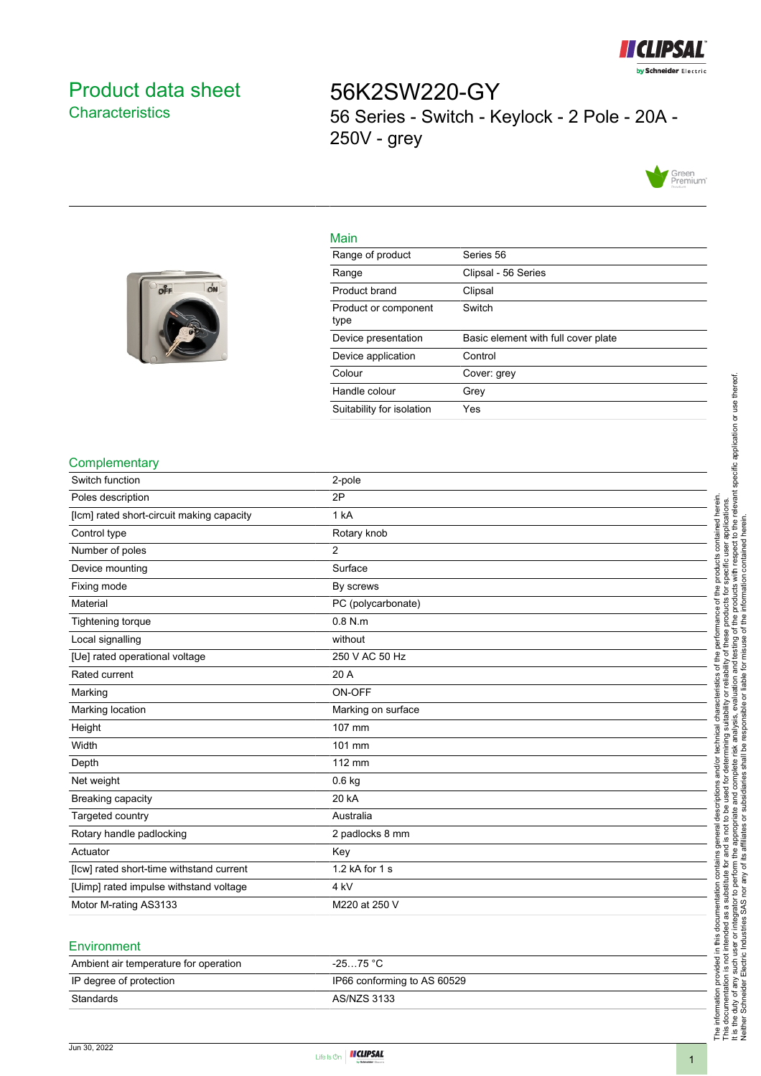

# <span id="page-0-0"></span>Product data sheet **Characteristics**

ON

56K2SW220-GY 56 Series - Switch - Keylock - 2 Pole - 20A - 250V - grey



#### Main

| Range of product             | Series 56                           |
|------------------------------|-------------------------------------|
| Range                        | Clipsal - 56 Series                 |
| Product brand                | Clipsal                             |
| Product or component<br>type | Switch                              |
| Device presentation          | Basic element with full cover plate |
| Device application           | Control                             |
| Colour                       | Cover: grey                         |
| Handle colour                | Grey                                |
| Suitability for isolation    | Yes                                 |

### **Complementary**

| Switch function                           | 2-pole             |
|-------------------------------------------|--------------------|
| Poles description                         | 2P                 |
| [lcm] rated short-circuit making capacity | 1 kA               |
| Control type                              | Rotary knob        |
| Number of poles                           | $\overline{2}$     |
| Device mounting                           | Surface            |
| Fixing mode                               | By screws          |
| Material                                  | PC (polycarbonate) |
| Tightening torque                         | $0.8$ N.m          |
| Local signalling                          | without            |
| [Ue] rated operational voltage            | 250 V AC 50 Hz     |
| Rated current                             | 20 A               |
| Marking                                   | ON-OFF             |
| Marking location                          | Marking on surface |
| Height                                    | 107 mm             |
| Width                                     | 101 mm             |
| Depth                                     | 112 mm             |
| Net weight                                | $0.6$ kg           |
| Breaking capacity                         | 20 kA              |
| Targeted country                          | Australia          |
| Rotary handle padlocking                  | 2 padlocks 8 mm    |
| Actuator                                  | Key                |
| [lcw] rated short-time withstand current  | 1.2 kA for 1 s     |
| [Uimp] rated impulse withstand voltage    | 4 <sub>kV</sub>    |
| Motor M-rating AS3133                     | M220 at 250 V      |
|                                           |                    |

#### Environment

Jun 30, 2022

| -25…75 °C                   |
|-----------------------------|
| IP66 conforming to AS 60529 |
| AS/NZS 3133                 |
|                             |



The information provided in this documentation contains general descriptions and/or technical characteristics of the performance of the products contained herein. This documentation is not intended as a substitute for and is not to be used for determining suitability or reliability of these products for specific user applications. It is the duty of any such user or integrator to perform the appropriate and complete risk analysis, evaluation and testing of the products with respect to the relevant specific application or use thereof.

The information provided in this documentation contains general descriptions and/or technical characteristics of the performance of the products contained herein.<br>This documentation is not intended as a substitute for and

Neither Schneider Electric Industries SAS nor any of its affiliates or subsidiaries shall be responsible or liable for misuse of the information contained herein.